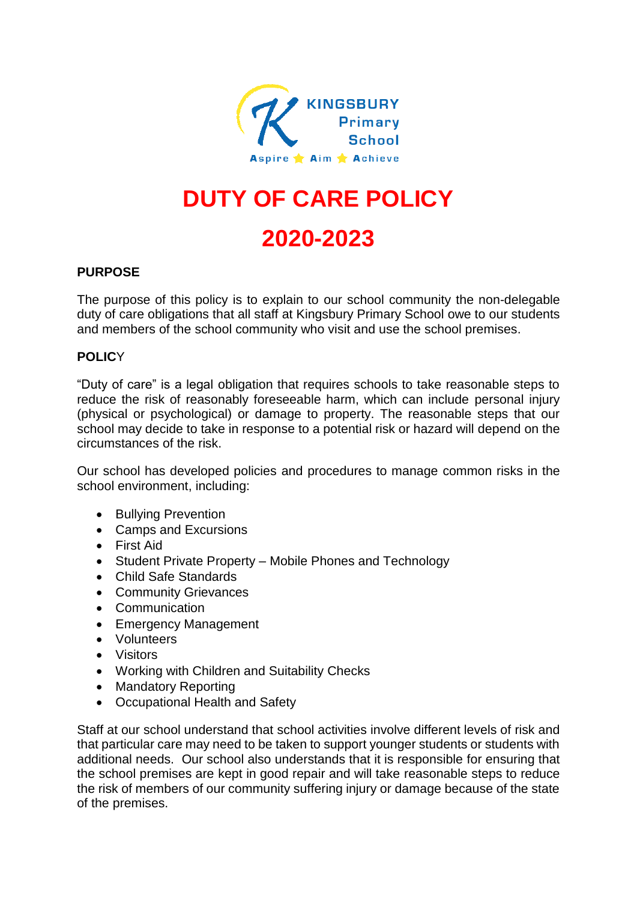

# **DUTY OF CARE POLICY**

## **2020-2023**

#### **PURPOSE**

The purpose of this policy is to explain to our school community the non-delegable duty of care obligations that all staff at Kingsbury Primary School owe to our students and members of the school community who visit and use the school premises.

### **POLIC**Y

"Duty of care" is a legal obligation that requires schools to take reasonable steps to reduce the risk of reasonably foreseeable harm, which can include personal injury (physical or psychological) or damage to property. The reasonable steps that our school may decide to take in response to a potential risk or hazard will depend on the circumstances of the risk.

Our school has developed policies and procedures to manage common risks in the school environment, including:

- Bullying Prevention
- Camps and Excursions
- First Aid
- Student Private Property Mobile Phones and Technology
- Child Safe Standards
- Community Grievances
- Communication
- Emergency Management
- Volunteers
- Visitors
- Working with Children and Suitability Checks
- Mandatory Reporting
- Occupational Health and Safety

Staff at our school understand that school activities involve different levels of risk and that particular care may need to be taken to support younger students or students with additional needs. Our school also understands that it is responsible for ensuring that the school premises are kept in good repair and will take reasonable steps to reduce the risk of members of our community suffering injury or damage because of the state of the premises.